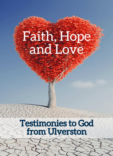# Faith, Hope and Love

# **Testimonies to God<br>from Ulverston**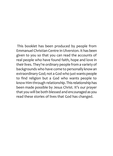This booklet has been produced by people from Emmanuel Christian Centre in Ulverston. It has been given to you so that you can read the accounts of real people who have found faith, hope and love in their lives. They're ordinary people from a variety of backgrounds who have come to personally know an extraordinary God; not a God who just wants people to find religion but a God who wants people to know Him through relationship.This relationship has been made possible by Jesus Christ. It's our prayer that you will be both blessed and encouraged as you read these stories of lives that God has changed.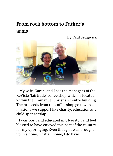## **From rock bottom to Father's arms**

By Paul Sedgwick



 My wife, Karen, and I are the managers of the ReVista 'fairtrade' coffee shop which is located within the Emmanuel Christian Centre building. The proceeds from the coffee shop go towards missions we support like charity, education and child sponsorship.

 I was born and educated in Ulverston and feel blessed to have enjoyed this part of the country for my upbringing. Even though I was brought up in a non-Christian home, I do have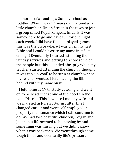memories of attending a Sunday school as a toddler. When I was 12 years old, I attended a little church on Union Street in the town to join a group called Royal Rangers. Initially it was somewhere to go and have fun for one night each week. I did have fun and played games but this was the place where I was given my first Bible and I couldn't write my name in it fast enough! Eventually I started attending the Sunday services and getting to know some of the people but this all ended abruptly when my teacher started attending the church. I thought it was too 'un-cool' to be seen at church where my teacher went so I left, leaving the Bible behind with my name on it!

 I left home at 17 to study catering and went on to be head chef at one of the hotels in the Lake District. This is where I met my wife and we married in June 2004. Just after this I changed career and went self-employed in property maintenance which I still continue to do. We had two beautiful children, Teigan and Jaden, but life seemed to be passing by and something was missing but we didn't know what it was back then. We went through some tough times and eventually life's pressures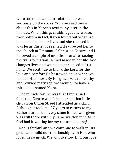were too much and our relationship was seriously on the rocks. You can read more about this in Karen's testimony later in the booklet. When things couldn't get any worse, rock bottom in fact, Karen found out what had been missing in our lives and she realised it was Jesus Christ. It seemed He directed her to the church at Emmanuel Christian Centre and I followed a couple of months later after seeing the transformation He had made in her life. God changes lives and we had experienced it firsthand. We continue to thank the Lord for the love and comfort He bestowed on us when we needed Him most. By His grace, with a healthy and revived marriage, we went on to have a third child named Keira.

 The miracle for me was that Emmanuel Christian Centre was formed from that little church on Union Street I attended as a child. Although it took me 27 years to return to my Father's arms, that very same Bible I was given was still there with my name written in it. As if God had it waiting for my return all along!

 God is faithful and we continue to walk in His grace and build our relationship with Him who loved us so much. We aim to show Him our love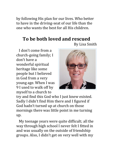by following His plan for our lives. Who better to have in the driving-seat of our life than the one who wants the best for all His children.

#### **To be both loved and rescued** By Lisa Smith

 I don't come from a church-going family; I don't have a wonderful spiritual heritage like some people but I believed in God from a very young age. When I was 9 I used to walk off by myself to a church to



try and find this God who I just knew existed. Sadly I didn't find Him there and I figured if God hadn't turned up at church on those mornings there was little point in me turning up.

 My teenage years were quite difficult; all the way through high school I never felt I fitted in and was usually on the outside of friendship groups. Also, I didn't get on very well with my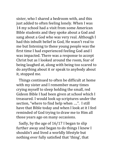sister, who I shared a bedroom with, and this just added to often feeling lonely. When I was 14 my school had a visit from some American Bible students and they spoke about a God and sang about a God who was very real. Although I had this inbuilt belief in God, He wasn't real to me but listening to these young people was the first time I had experienced feeling God and I was impacted. There was a response to accept Christ but as I looked around the room, fear of being laughed at, along with being too scared to do anything about it or speak to anybody about it, stopped me.

 Things continued to often be difficult at home with my sister and I remember many times crying myself to sleep holding the small, red Gideon Bible I had been given at school which I treasured. I would look up scriptures under the section, "where to find help when ….". I still have that Bible today and when I look at it I feel reminded of God trying to draw me to Him all those years ago on many occasions.

 Sadly, by the age of 16/17 I began to slip further away and began to do things I knew I shouldn't and lived a worldly lifestyle but nothing ever fully satisfied that 'thing', that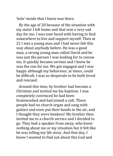'hole' inside that I knew was there.

 By the age of 20 because of the situation with my sister I left home and that was a very sad day for me. I was now faced with having to find somewhere to live and support myself. Then at 21 I met a young man and I had never felt this way about anybody before. He was a good man, a strong young man called David and he was just the person I was looking for to rescue me. It quickly became serious and I knew he was the one for me. We got engaged and I was happy although my behaviour, at times, could be difficult. I was so desperate to be both loved and rescued.

 Around this time, by brother had become a Christian and invited me his baptism. I was completely convinced he had been brainwashed and had joined a cult. These people had no church organ and sang with guitars and even put their hands in the air, and I thought they were bonkers! My brother then invited me to a church service and I decided to go. They had a speaker from away, who knew nothing about me or my situation but it felt like he was telling my life story. And that day, I knew I wanted to find out about this God and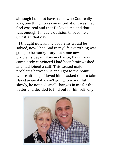although I did not have a clue who God really was, one thing I was convinced about was that God was real and that He loved me and that was enough. I made a decision to become a Christian that day.

 I thought now all my problems would be solved, now I had God in my life everything was going to be hunky-dory but some new problems began. Now my fiancé, David, was completely convinced I had been brainwashed and had joined a cult! This caused major problems between us and I got to the point where although I loved him, I asked God to take David away if it wasn't going to work. But slowly, he noticed small changes in me for the better and decided to find out for himself why.

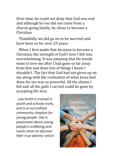Over time, he could not deny that God was real and although he too did not come from a church-going family, he chose to become a Christian.

 Thankfully we did go on to be married and have been so for over 25 years.

 When I first made that decision to become a Christian, the strength of God's love I felt was overwhelming. It was amazing that He would want to love me after I had gone so far away from him and done lots of things I knew I shouldn't. The fact that God had not given up on me along with the realisation of what Jesus had done for me was so powerful. All the shame I felt and all the guilt I carried could be gone by accepting His love.

 *Lisa Smith is trained in youth and schools work, and is an accredited community chaplain for young people. She is passionate about young people's wellbeing and wants them to discover their true identity which* 

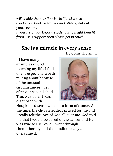*will enable them to flourish in life. Lisa also conducts school assemblies and often speaks at youth events.* 

*If you are or you know a student who might benefit from Lisa's support then please get in touch.*

#### **She is a miracle in every sense** By Colin Thornhill

 I have many examples of God touching my life. I find one is especially worth talking about because of the unusual circumstances. Just after our second child, Tim, was born, I was diagnosed with



Hodgkin's disease which is a form of cancer. At the time, the church leaders prayed for me and I really felt the love of God all over me. God told me that I would be cured of the cancer and He was true to His word. I went through chemotherapy and then radiotherapy and overcame it.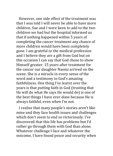However, one side effect of the treatment was that I was told I will never be able to have more children. Sue and I were keen to add to the two children we had but the hospital informed us that if nothing happened within 5 years of completing the cancer treatment any chance of more children would have been completely gone. I am grateful or the medical profession and I believe they are a gift from God but on this occasion I can say that God chose to show Himself greater. 15 years after treatment for the cancer our daughter Naomi arrived on the scene. She is a miracle in every sense of the word and a testimony to God's amazing faithfulness. One thing I've learnt over the years is that putting faith in God (trusting that He will do what He says He would do) is one of the best things I have ever done because He is always faithful, even when I'm not.

 I realise that many people's stories aren't like mine and they face health issues and challenges which don't seem to end so victoriously. I've discovered that this life has problems but I'd rather go through them with God than alone. Whatever challenge I face and whatever the outcome, I have found peace and security when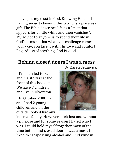I have put my trust in God. Knowing Him and having security beyond this world is a priceless gift. The Bible describes life as a "mist that appears for a little while and then vanishes". My advice to anyone is to spend their life in God's arms so that whatever challenge comes your way, you face it with His love and comfort. Regardless of anything, God is good.

#### **Behind closed doors I was a mess** By Karen Sedgwick

 I'm married to Paul and his story is at the front of this booklet. We have 3 children and live in Ulverston.

 In October 2008 Paul and I had 2 young children and on the outside looked like any

'normal' family. However, I felt lost and without a purpose and for some reason I hated who I was. I could hold myself together most of the time but behind closed doors I was a mess. I liked to escape using alcohol and I hid wine in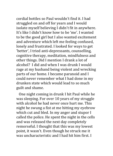cordial bottles so Paul wouldn't find it. I had struggled on and off for years and I would isolate myself believing I didn't fit in anywhere. It's like I didn't know how to be 'me'. I wanted to be the good girl but I also wanted excitement and adventure which left me feeling confused, lonely and frustrated. I looked for ways to get 'better', I tried anti-depressants, counselling, cognitive therapy, meditation, mindfulness and other things. Did I mention I drank a lot of alcohol? I did and when I was drunk I would rage at my husband being violent and wrecking parts of our home. I became paranoid and I could never remember what I had done in my drunken state which would lead to so much guilt and shame.

 One night coming in drunk I hit Paul while he was sleeping. For over 10 years of my struggle with alcohol he had never once hurt me. This night he swung a fist at me hitting my eyebrow which cut and bled. In my anger and stupor I called the police. He spent the night in the cells and was released the next day completely remorseful. I thought that this was my lowest point, it wasn't. Even though he struck me it was uncharacteristic and I had hit him first. I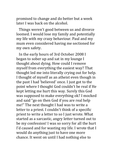promised to change and do better but a week later I was back on the alcohol.

 Things weren't good between us and divorce loomed. I would lose my family and potentially my life with my crazy behaviour. Paul and my mum even considered having me sectioned for my own safety.

 In the early hours of 3rd October 2008 I began to sober up and sat in my lounge I thought about dying. How could I remove myself from everything the easiest way? That thought led me into literally crying out for help. I thought of myself as an atheist even though in the past I had 'believed' once. I just got to the point where I thought God couldn't be real if He kept letting me hurt this way. Surely this God was supposed to make everything ok? I mocked and said "go on then God if you are real help me!" The next thought I had was to write a letter to a priest. I couldn't think of a specific priest to write a letter to so I just wrote. What started as a sarcastic, angry letter turned out to be my confession! I was so sorry for all the hurt I'd caused and for wasting my life. I wrote that I would do anything just to have one more chance. It went on until I had nothing else to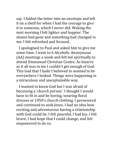say. I folded the letter into an envelope and left it on a shelf for when I had the courage to give it to someone, which I never did. Waking the next morning I felt lighter and happier. The shame had gone and something had changed in me. I felt refreshed and focused.

 I apologised to Paul and asked him to give me some time. I went to 6 Alcoholic Anonymous (AA) meetings a week and felt led spiritually to attend Emmanuel Christian Centre. As bizarre as it all was to me I couldn't get enough of God. This God that I hadn't believed in seemed to be everywhere I looked. Things were happening in a miraculous and unexplainable way.

 I wanted to know God but I was afraid of becoming a 'church person'. I thought I would have to fit in and be boring, wearing floral dresses or 1950's church clothing. I persevered and continued to seek Jesus. I had no idea how exciting and adventurous having a relationship with God could be. I felt peaceful, I had Joy, I felt brave, I had hope that I could change, and felt empowered to do so.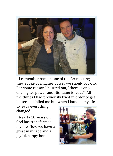

 I remember back in one of the AA meetings they spoke of a higher power we should look to. For some reason I blurted out, "there is only one higher power and His name is Jesus". All the things I had previously tried in order to get better had failed me but when I handed my life

to Jesus everything changed.

 Nearly 10 years on God has transformed my life. Now we have a great marriage and a joyful, happy home.

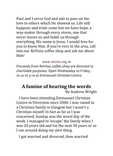Paul and I serve God and aim to pass on the love to others which He showed us. Life still happens and trials come but we have hope, a way-maker through every storm, one that never leaves us and holds us through everything. His name is Jesus. I would love for you to know Him. If you're ever in the area, call into our ReVista coffee shop and ask me about Him!

#### www.revista.org.uk

*Proceeds from ReVista coffee shop are directed to charitable purposes. Open Wednesday to Friday, 10 AM to 3 PM at Emmanuel Christian Centre.*

### **A famine of hearing the words** By Andrew Wright

 I have been attending Emmanuel Christian Centre in Ulverston since 2006. I was raised in a Christian family in Glasgow but I wasn't a Christian myself. In fact as far as l was concerned, Sunday was the worst day of the week. I managed to 'escape' the family when I was 20 years old and for the next 30 years or so I ran around doing my own thing.

I got married and divorced, then married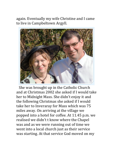again. Eventually my wife Christine and I came to live in Campbeltown Argyll.



 She was brought up in the Catholic Church and at Christmas 2002 she asked if I would take her to Midnight Mass. She didn't enjoy it and the following Christmas she asked if I would take her to Inveraray for Mass which was 75 miles away. On arriving at the village we popped into a hotel for coffee. At 11.45 p.m. we realised we didn't t know where the Chapel was and as we were running out of time we went into a local church just as their service was starting. At that service God moved on my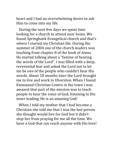heart and I had an overwhelming desire to ask Him to come into my life.

 During the next few days we spent time looking for a church to attend near home. We found Springbank Evangelical church and that's where I started my Christian life. During the summer of 2004 one of the church leaders was teaching from chapter 8 of the book of Amos. He started talking about a "famine of hearing the words of the Lord". I was filled with a deep, reverential fear and asked the Lord not to let me be one of the people who couldn't hear His words. About 18 months later the Lord brought me to live and work in Ulverston. When I found Emmanuel Christian Centre in the town I was amazed that part of the mission was to teach people to hear the voice of God; listening to His inner leading. He is an amazing God!

 When I told my mother that I had become a Christian she told me that I was the last person she thought would live for God but it didn't stop her from praying for me all the time. We have a God that can reach anyone with His love!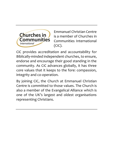

Emmanuel Christian Centre is a member of Churches in Communities International (CiC).

CiC provides accreditation and accountability for Biblically-minded independent churches, to ensure, endorse and encourage their good standing in the community. As CiC advances globally, it has three core values that it keeps to the fore: compassion, integrity and co-operation.

By joining CiC, the Church at Emmanuel Christian Centre is committed to those values. The Church is also a member of the Evangelical Alliance which is one of the UK's largest and oldest organisations representing Christians.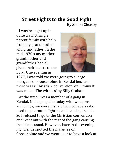#### **Street Fights to the Good Fight** By Simon Cleasby

 I was brought up in quite a strict single parent family with help from my grandmother and grandfather. In the mid 1970's my mother, grandmother and grandfather had all given their hearts to the Lord. One evening in



1977, I was told we were going to a large marquee on Gooseholme in Kendal because there was a Christian 'convention' on. I think it was called 'The witness' by Billy Graham.

 At the time I was a member of a gang in Kendal. Not a gang like today with weapons and drugs; we were just a bunch of rebels who used to go around fighting and causing trouble. So I refused to go to the Christian convention and went out with the rest of the gang causing trouble as usual. However, later in the evening my friends spotted the marquee on Gooseholme and we went over to have a look at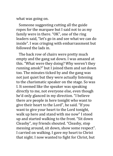what was going on.

 Someone suggesting cutting all the guide ropes for the marquee but I said not to as my family were in there. "OK", one of the ring leaders said, "let's go in and see what we can do inside". I was cringing with embarrassment but followed the lads in.

 The back row of chairs were pretty much empty and the gang sat down. I was amazed at this. "What were they doing? Why weren't they running amok?" but I joined them and sat down too. The minutes ticked by and the gang was not just quiet but they were actually listening to the charismatic speaker on the stage. So was I. It seemed like the speaker was speaking directly to me, not everyone else, even though he'd only glanced in my direction. "I believe there are people in here tonight who want to give their heart to the Lord", he said. "If you want to give your heart to the Lord tonight, walk up here and stand with me now" I stood up and started walking to the front. "Sit down Cleasby", my friends shouted. "Cleasby, stop messing around, sit down, show some respect". I carried on walking. I gave my heart to Christ that night. I now wanted to fight for Christ, but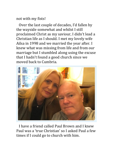not with my fists!

 Over the last couple of decades, I'd fallen by the wayside somewhat and whilst I still proclaimed Christ as my saviour, I didn't lead a Christian life as I should. I met my lovely wife Ailsa in 1998 and we married the year after. I knew what was missing from life and from our marriage but I stumbled along using the excuse that I hadn't found a good church since we moved back to Cumbria.



 I have a friend called Paul Brown and I knew Paul was a 'true Christian' so I asked Paul a few times if I could go to church with him.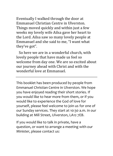Eventually I walked through the door at Emmanuel Christian Centre in Ulverston. Things moved quickly and within just a few weeks my lovely wife Ailsa gave her heart to the Lord. Ailsa saw so many lovely people at Emmanuel and she said to me, "I want what they've got".

 So here we are in a wonderful church, with lovely people that have made us feel so welcome from day one. We are so excited about our journey ahead with Christ and with the wonderful love at Emmanuel.

This booklet has been produced by people from Emmanuel Christian Centre in Ulverston. We hope you have enjoyed reading their short stories. If you would like to hear more from them, or if you would like to experience the God of love for yourself, please feel welcome to join us for one of our Sunday services. They start at 10:30 a.m. in our building at Mill Street, Ulverston, LA12 7EB.

If you would like to talk in private, have a question, or want to arrange a meeting with our Minister, please contact us: